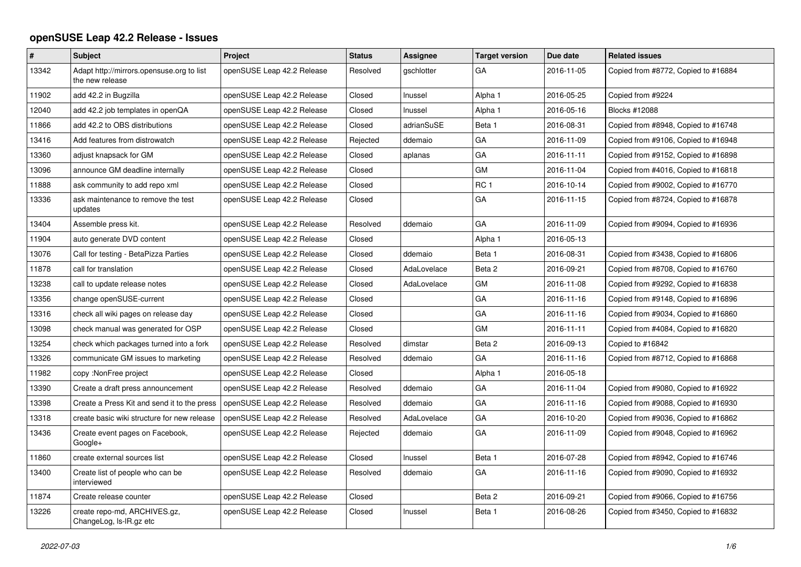## **openSUSE Leap 42.2 Release - Issues**

| #     | <b>Subject</b>                                               | Project                    | <b>Status</b> | Assignee    | <b>Target version</b> | Due date   | <b>Related issues</b>               |
|-------|--------------------------------------------------------------|----------------------------|---------------|-------------|-----------------------|------------|-------------------------------------|
| 13342 | Adapt http://mirrors.opensuse.org to list<br>the new release | openSUSE Leap 42.2 Release | Resolved      | gschlotter  | GA                    | 2016-11-05 | Copied from #8772, Copied to #16884 |
| 11902 | add 42.2 in Bugzilla                                         | openSUSE Leap 42.2 Release | Closed        | Inussel     | Alpha 1               | 2016-05-25 | Copied from #9224                   |
| 12040 | add 42.2 job templates in openQA                             | openSUSE Leap 42.2 Release | Closed        | Inussel     | Alpha 1               | 2016-05-16 | Blocks #12088                       |
| 11866 | add 42.2 to OBS distributions                                | openSUSE Leap 42.2 Release | Closed        | adrianSuSE  | Beta 1                | 2016-08-31 | Copied from #8948, Copied to #16748 |
| 13416 | Add features from distrowatch                                | openSUSE Leap 42.2 Release | Rejected      | ddemaio     | GA                    | 2016-11-09 | Copied from #9106, Copied to #16948 |
| 13360 | adjust knapsack for GM                                       | openSUSE Leap 42.2 Release | Closed        | aplanas     | GA                    | 2016-11-11 | Copied from #9152, Copied to #16898 |
| 13096 | announce GM deadline internally                              | openSUSE Leap 42.2 Release | Closed        |             | <b>GM</b>             | 2016-11-04 | Copied from #4016, Copied to #16818 |
| 11888 | ask community to add repo xml                                | openSUSE Leap 42.2 Release | Closed        |             | RC <sub>1</sub>       | 2016-10-14 | Copied from #9002, Copied to #16770 |
| 13336 | ask maintenance to remove the test<br>updates                | openSUSE Leap 42.2 Release | Closed        |             | GA                    | 2016-11-15 | Copied from #8724, Copied to #16878 |
| 13404 | Assemble press kit.                                          | openSUSE Leap 42.2 Release | Resolved      | ddemaio     | GA                    | 2016-11-09 | Copied from #9094, Copied to #16936 |
| 11904 | auto generate DVD content                                    | openSUSE Leap 42.2 Release | Closed        |             | Alpha 1               | 2016-05-13 |                                     |
| 13076 | Call for testing - BetaPizza Parties                         | openSUSE Leap 42.2 Release | Closed        | ddemaio     | Beta 1                | 2016-08-31 | Copied from #3438, Copied to #16806 |
| 11878 | call for translation                                         | openSUSE Leap 42.2 Release | Closed        | AdaLovelace | Beta 2                | 2016-09-21 | Copied from #8708, Copied to #16760 |
| 13238 | call to update release notes                                 | openSUSE Leap 42.2 Release | Closed        | AdaLovelace | <b>GM</b>             | 2016-11-08 | Copied from #9292, Copied to #16838 |
| 13356 | change openSUSE-current                                      | openSUSE Leap 42.2 Release | Closed        |             | GA                    | 2016-11-16 | Copied from #9148, Copied to #16896 |
| 13316 | check all wiki pages on release day                          | openSUSE Leap 42.2 Release | Closed        |             | GA                    | 2016-11-16 | Copied from #9034, Copied to #16860 |
| 13098 | check manual was generated for OSP                           | openSUSE Leap 42.2 Release | Closed        |             | <b>GM</b>             | 2016-11-11 | Copied from #4084, Copied to #16820 |
| 13254 | check which packages turned into a fork                      | openSUSE Leap 42.2 Release | Resolved      | dimstar     | Beta 2                | 2016-09-13 | Copied to #16842                    |
| 13326 | communicate GM issues to marketing                           | openSUSE Leap 42.2 Release | Resolved      | ddemaio     | GA                    | 2016-11-16 | Copied from #8712, Copied to #16868 |
| 11982 | copy :NonFree project                                        | openSUSE Leap 42.2 Release | Closed        |             | Alpha 1               | 2016-05-18 |                                     |
| 13390 | Create a draft press announcement                            | openSUSE Leap 42.2 Release | Resolved      | ddemaio     | GA                    | 2016-11-04 | Copied from #9080, Copied to #16922 |
| 13398 | Create a Press Kit and send it to the press                  | openSUSE Leap 42.2 Release | Resolved      | ddemaio     | GA                    | 2016-11-16 | Copied from #9088, Copied to #16930 |
| 13318 | create basic wiki structure for new release                  | openSUSE Leap 42.2 Release | Resolved      | AdaLovelace | GA                    | 2016-10-20 | Copied from #9036, Copied to #16862 |
| 13436 | Create event pages on Facebook,<br>Google+                   | openSUSE Leap 42.2 Release | Rejected      | ddemaio     | GA                    | 2016-11-09 | Copied from #9048, Copied to #16962 |
| 11860 | create external sources list                                 | openSUSE Leap 42.2 Release | Closed        | Inussel     | Beta 1                | 2016-07-28 | Copied from #8942, Copied to #16746 |
| 13400 | Create list of people who can be<br>interviewed              | openSUSE Leap 42.2 Release | Resolved      | ddemaio     | GA                    | 2016-11-16 | Copied from #9090, Copied to #16932 |
| 11874 | Create release counter                                       | openSUSE Leap 42.2 Release | Closed        |             | Beta 2                | 2016-09-21 | Copied from #9066, Copied to #16756 |
| 13226 | create repo-md, ARCHIVES.gz,<br>ChangeLog, Is-IR.gz etc      | openSUSE Leap 42.2 Release | Closed        | Inussel     | Beta 1                | 2016-08-26 | Copied from #3450, Copied to #16832 |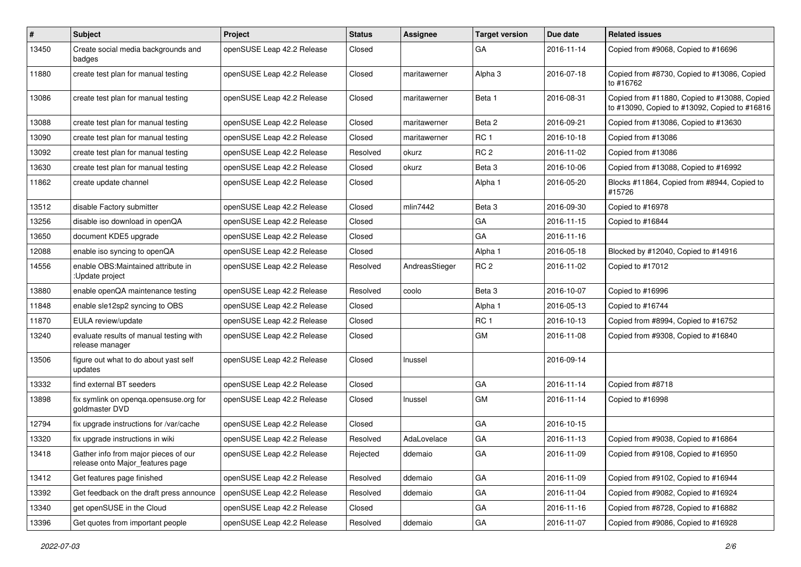| $\pmb{\#}$ | Subject                                                                  | <b>Project</b>             | <b>Status</b> | Assignee       | <b>Target version</b> | Due date   | <b>Related issues</b>                                                                         |
|------------|--------------------------------------------------------------------------|----------------------------|---------------|----------------|-----------------------|------------|-----------------------------------------------------------------------------------------------|
| 13450      | Create social media backgrounds and<br>badges                            | openSUSE Leap 42.2 Release | Closed        |                | GA                    | 2016-11-14 | Copied from #9068, Copied to #16696                                                           |
| 11880      | create test plan for manual testing                                      | openSUSE Leap 42.2 Release | Closed        | maritawerner   | Alpha <sub>3</sub>    | 2016-07-18 | Copied from #8730, Copied to #13086, Copied<br>to #16762                                      |
| 13086      | create test plan for manual testing                                      | openSUSE Leap 42.2 Release | Closed        | maritawerner   | Beta 1                | 2016-08-31 | Copied from #11880, Copied to #13088, Copied<br>to #13090, Copied to #13092, Copied to #16816 |
| 13088      | create test plan for manual testing                                      | openSUSE Leap 42.2 Release | Closed        | maritawerner   | Beta 2                | 2016-09-21 | Copied from #13086, Copied to #13630                                                          |
| 13090      | create test plan for manual testing                                      | openSUSE Leap 42.2 Release | Closed        | maritawerner   | RC <sub>1</sub>       | 2016-10-18 | Copied from #13086                                                                            |
| 13092      | create test plan for manual testing                                      | openSUSE Leap 42.2 Release | Resolved      | okurz          | RC <sub>2</sub>       | 2016-11-02 | Copied from #13086                                                                            |
| 13630      | create test plan for manual testing                                      | openSUSE Leap 42.2 Release | Closed        | okurz          | Beta 3                | 2016-10-06 | Copied from #13088, Copied to #16992                                                          |
| 11862      | create update channel                                                    | openSUSE Leap 42.2 Release | Closed        |                | Alpha 1               | 2016-05-20 | Blocks #11864, Copied from #8944, Copied to<br>#15726                                         |
| 13512      | disable Factory submitter                                                | openSUSE Leap 42.2 Release | Closed        | mlin7442       | Beta <sub>3</sub>     | 2016-09-30 | Copied to #16978                                                                              |
| 13256      | disable iso download in openQA                                           | openSUSE Leap 42.2 Release | Closed        |                | GA                    | 2016-11-15 | Copied to #16844                                                                              |
| 13650      | document KDE5 upgrade                                                    | openSUSE Leap 42.2 Release | Closed        |                | GA                    | 2016-11-16 |                                                                                               |
| 12088      | enable iso syncing to openQA                                             | openSUSE Leap 42.2 Release | Closed        |                | Alpha 1               | 2016-05-18 | Blocked by #12040, Copied to #14916                                                           |
| 14556      | enable OBS: Maintained attribute in<br>:Update project                   | openSUSE Leap 42.2 Release | Resolved      | AndreasStieger | RC <sub>2</sub>       | 2016-11-02 | Copied to #17012                                                                              |
| 13880      | enable openQA maintenance testing                                        | openSUSE Leap 42.2 Release | Resolved      | coolo          | Beta 3                | 2016-10-07 | Copied to #16996                                                                              |
| 11848      | enable sle12sp2 syncing to OBS                                           | openSUSE Leap 42.2 Release | Closed        |                | Alpha 1               | 2016-05-13 | Copied to #16744                                                                              |
| 11870      | EULA review/update                                                       | openSUSE Leap 42.2 Release | Closed        |                | RC <sub>1</sub>       | 2016-10-13 | Copied from #8994, Copied to #16752                                                           |
| 13240      | evaluate results of manual testing with<br>release manager               | openSUSE Leap 42.2 Release | Closed        |                | GM                    | 2016-11-08 | Copied from #9308, Copied to #16840                                                           |
| 13506      | figure out what to do about yast self<br>updates                         | openSUSE Leap 42.2 Release | Closed        | Inussel        |                       | 2016-09-14 |                                                                                               |
| 13332      | find external BT seeders                                                 | openSUSE Leap 42.2 Release | Closed        |                | GA                    | 2016-11-14 | Copied from #8718                                                                             |
| 13898      | fix symlink on openqa.opensuse.org for<br>goldmaster DVD                 | openSUSE Leap 42.2 Release | Closed        | Inussel        | GM                    | 2016-11-14 | Copied to #16998                                                                              |
| 12794      | fix upgrade instructions for /var/cache                                  | openSUSE Leap 42.2 Release | Closed        |                | GA                    | 2016-10-15 |                                                                                               |
| 13320      | fix upgrade instructions in wiki                                         | openSUSE Leap 42.2 Release | Resolved      | AdaLovelace    | GA                    | 2016-11-13 | Copied from #9038, Copied to #16864                                                           |
| 13418      | Gather info from major pieces of our<br>release onto Major_features page | openSUSE Leap 42.2 Release | Rejected      | ddemaio        | GA                    | 2016-11-09 | Copied from #9108, Copied to #16950                                                           |
| 13412      | Get features page finished                                               | openSUSE Leap 42.2 Release | Resolved      | ddemaio        | GA                    | 2016-11-09 | Copied from #9102, Copied to #16944                                                           |
| 13392      | Get feedback on the draft press announce                                 | openSUSE Leap 42.2 Release | Resolved      | ddemaio        | GA                    | 2016-11-04 | Copied from #9082, Copied to #16924                                                           |
| 13340      | get openSUSE in the Cloud                                                | openSUSE Leap 42.2 Release | Closed        |                | GA                    | 2016-11-16 | Copied from #8728, Copied to #16882                                                           |
| 13396      | Get quotes from important people                                         | openSUSE Leap 42.2 Release | Resolved      | ddemaio        | GA                    | 2016-11-07 | Copied from #9086, Copied to #16928                                                           |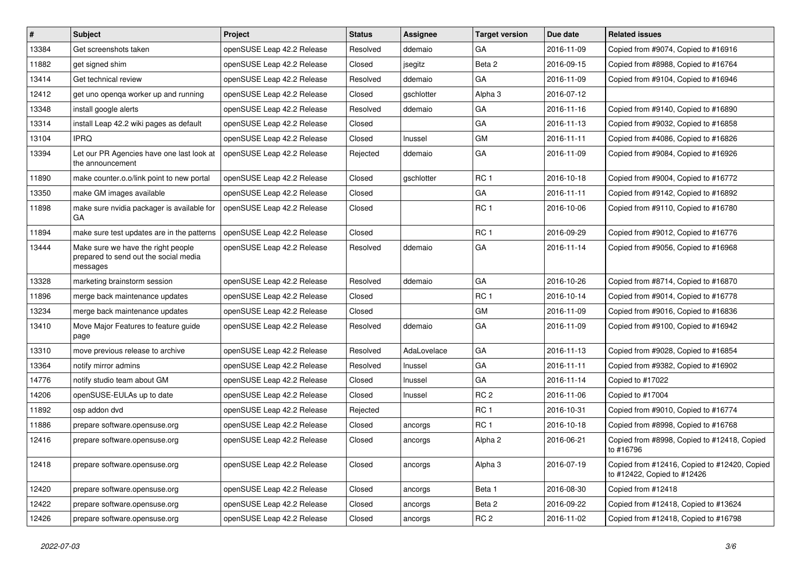| #     | <b>Subject</b>                                                                          | Project                    | <b>Status</b> | Assignee    | <b>Target version</b> | Due date   | <b>Related issues</b>                                                       |
|-------|-----------------------------------------------------------------------------------------|----------------------------|---------------|-------------|-----------------------|------------|-----------------------------------------------------------------------------|
| 13384 | Get screenshots taken                                                                   | openSUSE Leap 42.2 Release | Resolved      | ddemaio     | GA                    | 2016-11-09 | Copied from #9074, Copied to #16916                                         |
| 11882 | get signed shim                                                                         | openSUSE Leap 42.2 Release | Closed        | jsegitz     | Beta 2                | 2016-09-15 | Copied from #8988, Copied to #16764                                         |
| 13414 | Get technical review                                                                    | openSUSE Leap 42.2 Release | Resolved      | ddemaio     | GA                    | 2016-11-09 | Copied from #9104, Copied to #16946                                         |
| 12412 | get uno openga worker up and running                                                    | openSUSE Leap 42.2 Release | Closed        | gschlotter  | Alpha <sub>3</sub>    | 2016-07-12 |                                                                             |
| 13348 | install google alerts                                                                   | openSUSE Leap 42.2 Release | Resolved      | ddemaio     | GA                    | 2016-11-16 | Copied from #9140, Copied to #16890                                         |
| 13314 | install Leap 42.2 wiki pages as default                                                 | openSUSE Leap 42.2 Release | Closed        |             | GA                    | 2016-11-13 | Copied from #9032, Copied to #16858                                         |
| 13104 | <b>IPRQ</b>                                                                             | openSUSE Leap 42.2 Release | Closed        | Inussel     | GM                    | 2016-11-11 | Copied from #4086, Copied to #16826                                         |
| 13394 | Let our PR Agencies have one last look at<br>the announcement                           | openSUSE Leap 42.2 Release | Rejected      | ddemaio     | GA                    | 2016-11-09 | Copied from #9084, Copied to #16926                                         |
| 11890 | make counter.o.o/link point to new portal                                               | openSUSE Leap 42.2 Release | Closed        | gschlotter  | RC <sub>1</sub>       | 2016-10-18 | Copied from #9004, Copied to #16772                                         |
| 13350 | make GM images available                                                                | openSUSE Leap 42.2 Release | Closed        |             | GA                    | 2016-11-11 | Copied from #9142, Copied to #16892                                         |
| 11898 | make sure nvidia packager is available for<br>GA                                        | openSUSE Leap 42.2 Release | Closed        |             | RC <sub>1</sub>       | 2016-10-06 | Copied from #9110, Copied to #16780                                         |
| 11894 | make sure test updates are in the patterns                                              | openSUSE Leap 42.2 Release | Closed        |             | RC <sub>1</sub>       | 2016-09-29 | Copied from #9012, Copied to #16776                                         |
| 13444 | Make sure we have the right people<br>prepared to send out the social media<br>messages | openSUSE Leap 42.2 Release | Resolved      | ddemaio     | GA                    | 2016-11-14 | Copied from #9056, Copied to #16968                                         |
| 13328 | marketing brainstorm session                                                            | openSUSE Leap 42.2 Release | Resolved      | ddemaio     | GA                    | 2016-10-26 | Copied from #8714, Copied to #16870                                         |
| 11896 | merge back maintenance updates                                                          | openSUSE Leap 42.2 Release | Closed        |             | RC <sub>1</sub>       | 2016-10-14 | Copied from #9014, Copied to #16778                                         |
| 13234 | merge back maintenance updates                                                          | openSUSE Leap 42.2 Release | Closed        |             | <b>GM</b>             | 2016-11-09 | Copied from #9016, Copied to #16836                                         |
| 13410 | Move Major Features to feature guide<br>page                                            | openSUSE Leap 42.2 Release | Resolved      | ddemaio     | GA                    | 2016-11-09 | Copied from #9100, Copied to #16942                                         |
| 13310 | move previous release to archive                                                        | openSUSE Leap 42.2 Release | Resolved      | AdaLovelace | GA                    | 2016-11-13 | Copied from #9028, Copied to #16854                                         |
| 13364 | notify mirror admins                                                                    | openSUSE Leap 42.2 Release | Resolved      | Inussel     | GA                    | 2016-11-11 | Copied from #9382, Copied to #16902                                         |
| 14776 | notify studio team about GM                                                             | openSUSE Leap 42.2 Release | Closed        | Inussel     | GA                    | 2016-11-14 | Copied to #17022                                                            |
| 14206 | openSUSE-EULAs up to date                                                               | openSUSE Leap 42.2 Release | Closed        | Inussel     | RC <sub>2</sub>       | 2016-11-06 | Copied to #17004                                                            |
| 11892 | osp addon dvd                                                                           | openSUSE Leap 42.2 Release | Rejected      |             | RC <sub>1</sub>       | 2016-10-31 | Copied from #9010, Copied to #16774                                         |
| 11886 | prepare software.opensuse.org                                                           | openSUSE Leap 42.2 Release | Closed        | ancorgs     | RC <sub>1</sub>       | 2016-10-18 | Copied from #8998, Copied to #16768                                         |
| 12416 | prepare software.opensuse.org                                                           | openSUSE Leap 42.2 Release | Closed        | ancorgs     | Alpha 2               | 2016-06-21 | Copied from #8998, Copied to #12418, Copied<br>to #16796                    |
| 12418 | prepare software.opensuse.org                                                           | openSUSE Leap 42.2 Release | Closed        | ancorgs     | Alpha <sub>3</sub>    | 2016-07-19 | Copied from #12416, Copied to #12420, Copied<br>to #12422, Copied to #12426 |
| 12420 | prepare software.opensuse.org                                                           | openSUSE Leap 42.2 Release | Closed        | ancorgs     | Beta 1                | 2016-08-30 | Copied from #12418                                                          |
| 12422 | prepare software.opensuse.org                                                           | openSUSE Leap 42.2 Release | Closed        | ancorgs     | Beta 2                | 2016-09-22 | Copied from #12418, Copied to #13624                                        |
| 12426 | prepare software.opensuse.org                                                           | openSUSE Leap 42.2 Release | Closed        | ancorgs     | RC <sub>2</sub>       | 2016-11-02 | Copied from #12418, Copied to #16798                                        |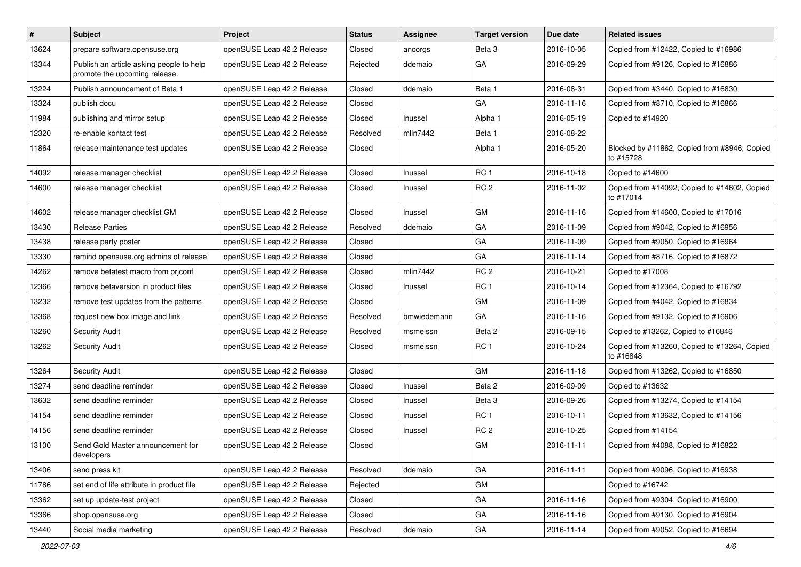| #     | <b>Subject</b>                                                            | Project                    | <b>Status</b> | Assignee    | <b>Target version</b> | Due date   | <b>Related issues</b>                                     |
|-------|---------------------------------------------------------------------------|----------------------------|---------------|-------------|-----------------------|------------|-----------------------------------------------------------|
| 13624 | prepare software.opensuse.org                                             | openSUSE Leap 42.2 Release | Closed        | ancorgs     | Beta <sub>3</sub>     | 2016-10-05 | Copied from #12422, Copied to #16986                      |
| 13344 | Publish an article asking people to help<br>promote the upcoming release. | openSUSE Leap 42.2 Release | Rejected      | ddemaio     | GA                    | 2016-09-29 | Copied from #9126, Copied to #16886                       |
| 13224 | Publish announcement of Beta 1                                            | openSUSE Leap 42.2 Release | Closed        | ddemaio     | Beta 1                | 2016-08-31 | Copied from #3440, Copied to #16830                       |
| 13324 | publish docu                                                              | openSUSE Leap 42.2 Release | Closed        |             | GA                    | 2016-11-16 | Copied from #8710, Copied to #16866                       |
| 11984 | publishing and mirror setup                                               | openSUSE Leap 42.2 Release | Closed        | Inussel     | Alpha 1               | 2016-05-19 | Copied to #14920                                          |
| 12320 | re-enable kontact test                                                    | openSUSE Leap 42.2 Release | Resolved      | mlin7442    | Beta 1                | 2016-08-22 |                                                           |
| 11864 | release maintenance test updates                                          | openSUSE Leap 42.2 Release | Closed        |             | Alpha 1               | 2016-05-20 | Blocked by #11862, Copied from #8946, Copied<br>to #15728 |
| 14092 | release manager checklist                                                 | openSUSE Leap 42.2 Release | Closed        | Inussel     | RC <sub>1</sub>       | 2016-10-18 | Copied to #14600                                          |
| 14600 | release manager checklist                                                 | openSUSE Leap 42.2 Release | Closed        | Inussel     | RC <sub>2</sub>       | 2016-11-02 | Copied from #14092, Copied to #14602, Copied<br>to #17014 |
| 14602 | release manager checklist GM                                              | openSUSE Leap 42.2 Release | Closed        | Inussel     | GM                    | 2016-11-16 | Copied from #14600, Copied to #17016                      |
| 13430 | <b>Release Parties</b>                                                    | openSUSE Leap 42.2 Release | Resolved      | ddemaio     | GA                    | 2016-11-09 | Copied from #9042, Copied to #16956                       |
| 13438 | release party poster                                                      | openSUSE Leap 42.2 Release | Closed        |             | GA                    | 2016-11-09 | Copied from #9050, Copied to #16964                       |
| 13330 | remind opensuse.org admins of release                                     | openSUSE Leap 42.2 Release | Closed        |             | GA                    | 2016-11-14 | Copied from #8716, Copied to #16872                       |
| 14262 | remove betatest macro from priconf                                        | openSUSE Leap 42.2 Release | Closed        | mlin7442    | RC <sub>2</sub>       | 2016-10-21 | Copied to #17008                                          |
| 12366 | remove betaversion in product files                                       | openSUSE Leap 42.2 Release | Closed        | Inussel     | RC <sub>1</sub>       | 2016-10-14 | Copied from #12364, Copied to #16792                      |
| 13232 | remove test updates from the patterns                                     | openSUSE Leap 42.2 Release | Closed        |             | GM                    | 2016-11-09 | Copied from #4042, Copied to #16834                       |
| 13368 | request new box image and link                                            | openSUSE Leap 42.2 Release | Resolved      | bmwiedemann | GA                    | 2016-11-16 | Copied from #9132, Copied to #16906                       |
| 13260 | <b>Security Audit</b>                                                     | openSUSE Leap 42.2 Release | Resolved      | msmeissn    | Beta 2                | 2016-09-15 | Copied to #13262, Copied to #16846                        |
| 13262 | <b>Security Audit</b>                                                     | openSUSE Leap 42.2 Release | Closed        | msmeissn    | RC <sub>1</sub>       | 2016-10-24 | Copied from #13260, Copied to #13264, Copied<br>to #16848 |
| 13264 | <b>Security Audit</b>                                                     | openSUSE Leap 42.2 Release | Closed        |             | <b>GM</b>             | 2016-11-18 | Copied from #13262, Copied to #16850                      |
| 13274 | send deadline reminder                                                    | openSUSE Leap 42.2 Release | Closed        | Inussel     | Beta 2                | 2016-09-09 | Copied to #13632                                          |
| 13632 | send deadline reminder                                                    | openSUSE Leap 42.2 Release | Closed        | Inussel     | Beta <sub>3</sub>     | 2016-09-26 | Copied from #13274, Copied to #14154                      |
| 14154 | send deadline reminder                                                    | openSUSE Leap 42.2 Release | Closed        | Inussel     | RC <sub>1</sub>       | 2016-10-11 | Copied from #13632, Copied to #14156                      |
| 14156 | send deadline reminder                                                    | openSUSE Leap 42.2 Release | Closed        | Inussel     | RC <sub>2</sub>       | 2016-10-25 | Copied from #14154                                        |
| 13100 | Send Gold Master announcement for<br>developers                           | openSUSE Leap 42.2 Release | Closed        |             | GM                    | 2016-11-11 | Copied from #4088, Copied to #16822                       |
| 13406 | send press kit                                                            | openSUSE Leap 42.2 Release | Resolved      | ddemaio     | GA                    | 2016-11-11 | Copied from #9096, Copied to #16938                       |
| 11786 | set end of life attribute in product file                                 | openSUSE Leap 42.2 Release | Rejected      |             | GM                    |            | Copied to #16742                                          |
| 13362 | set up update-test project                                                | openSUSE Leap 42.2 Release | Closed        |             | GA                    | 2016-11-16 | Copied from #9304, Copied to #16900                       |
| 13366 | shop.opensuse.org                                                         | openSUSE Leap 42.2 Release | Closed        |             | GA                    | 2016-11-16 | Copied from #9130, Copied to #16904                       |
| 13440 | Social media marketing                                                    | openSUSE Leap 42.2 Release | Resolved      | ddemaio     | GA                    | 2016-11-14 | Copied from #9052, Copied to #16694                       |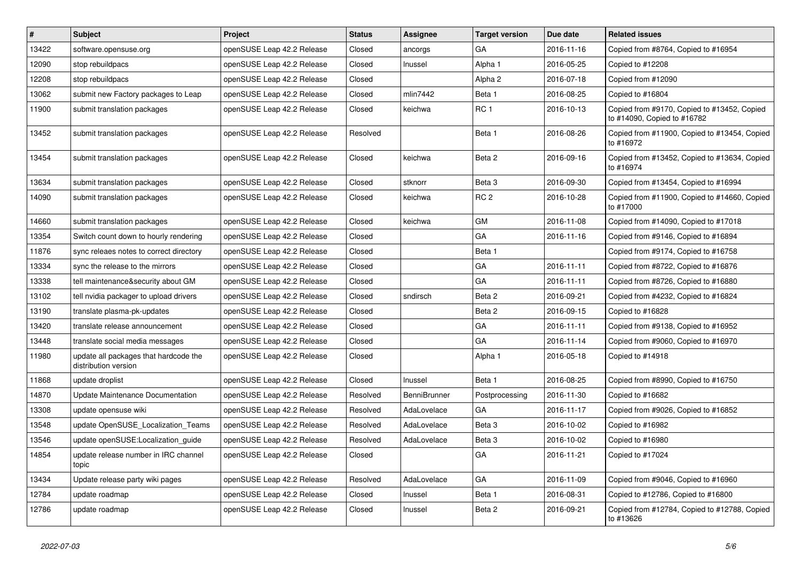| #     | <b>Subject</b>                                                | Project                    | <b>Status</b> | <b>Assignee</b> | <b>Target version</b> | Due date   | <b>Related issues</b>                                                      |
|-------|---------------------------------------------------------------|----------------------------|---------------|-----------------|-----------------------|------------|----------------------------------------------------------------------------|
| 13422 | software.opensuse.org                                         | openSUSE Leap 42.2 Release | Closed        | ancorgs         | GA                    | 2016-11-16 | Copied from #8764, Copied to #16954                                        |
| 12090 | stop rebuildpacs                                              | openSUSE Leap 42.2 Release | Closed        | Inussel         | Alpha 1               | 2016-05-25 | Copied to #12208                                                           |
| 12208 | stop rebuildpacs                                              | openSUSE Leap 42.2 Release | Closed        |                 | Alpha 2               | 2016-07-18 | Copied from #12090                                                         |
| 13062 | submit new Factory packages to Leap                           | openSUSE Leap 42.2 Release | Closed        | mlin7442        | Beta 1                | 2016-08-25 | Copied to #16804                                                           |
| 11900 | submit translation packages                                   | openSUSE Leap 42.2 Release | Closed        | keichwa         | RC <sub>1</sub>       | 2016-10-13 | Copied from #9170, Copied to #13452, Copied<br>to #14090, Copied to #16782 |
| 13452 | submit translation packages                                   | openSUSE Leap 42.2 Release | Resolved      |                 | Beta 1                | 2016-08-26 | Copied from #11900, Copied to #13454, Copied<br>to #16972                  |
| 13454 | submit translation packages                                   | openSUSE Leap 42.2 Release | Closed        | keichwa         | Beta 2                | 2016-09-16 | Copied from #13452, Copied to #13634, Copied<br>to #16974                  |
| 13634 | submit translation packages                                   | openSUSE Leap 42.2 Release | Closed        | stknorr         | Beta 3                | 2016-09-30 | Copied from #13454, Copied to #16994                                       |
| 14090 | submit translation packages                                   | openSUSE Leap 42.2 Release | Closed        | keichwa         | RC <sub>2</sub>       | 2016-10-28 | Copied from #11900, Copied to #14660, Copied<br>to #17000                  |
| 14660 | submit translation packages                                   | openSUSE Leap 42.2 Release | Closed        | keichwa         | GM                    | 2016-11-08 | Copied from #14090, Copied to #17018                                       |
| 13354 | Switch count down to hourly rendering                         | openSUSE Leap 42.2 Release | Closed        |                 | GA                    | 2016-11-16 | Copied from #9146, Copied to #16894                                        |
| 11876 | sync releaes notes to correct directory                       | openSUSE Leap 42.2 Release | Closed        |                 | Beta 1                |            | Copied from #9174, Copied to #16758                                        |
| 13334 | sync the release to the mirrors                               | openSUSE Leap 42.2 Release | Closed        |                 | GA                    | 2016-11-11 | Copied from #8722, Copied to #16876                                        |
| 13338 | tell maintenance&security about GM                            | openSUSE Leap 42.2 Release | Closed        |                 | GA                    | 2016-11-11 | Copied from #8726, Copied to #16880                                        |
| 13102 | tell nvidia packager to upload drivers                        | openSUSE Leap 42.2 Release | Closed        | sndirsch        | Beta 2                | 2016-09-21 | Copied from #4232, Copied to #16824                                        |
| 13190 | translate plasma-pk-updates                                   | openSUSE Leap 42.2 Release | Closed        |                 | Beta 2                | 2016-09-15 | Copied to #16828                                                           |
| 13420 | translate release announcement                                | openSUSE Leap 42.2 Release | Closed        |                 | GA                    | 2016-11-11 | Copied from #9138, Copied to #16952                                        |
| 13448 | translate social media messages                               | openSUSE Leap 42.2 Release | Closed        |                 | GA                    | 2016-11-14 | Copied from #9060, Copied to #16970                                        |
| 11980 | update all packages that hardcode the<br>distribution version | openSUSE Leap 42.2 Release | Closed        |                 | Alpha 1               | 2016-05-18 | Copied to #14918                                                           |
| 11868 | update droplist                                               | openSUSE Leap 42.2 Release | Closed        | Inussel         | Beta 1                | 2016-08-25 | Copied from #8990, Copied to #16750                                        |
| 14870 | Update Maintenance Documentation                              | openSUSE Leap 42.2 Release | Resolved      | BenniBrunner    | Postprocessing        | 2016-11-30 | Copied to #16682                                                           |
| 13308 | update opensuse wiki                                          | openSUSE Leap 42.2 Release | Resolved      | AdaLovelace     | GA                    | 2016-11-17 | Copied from #9026, Copied to #16852                                        |
| 13548 | update OpenSUSE Localization Teams                            | openSUSE Leap 42.2 Release | Resolved      | AdaLovelace     | Beta 3                | 2016-10-02 | Copied to #16982                                                           |
| 13546 | update openSUSE:Localization_guide                            | openSUSE Leap 42.2 Release | Resolved      | AdaLovelace     | Beta 3                | 2016-10-02 | Copied to #16980                                                           |
| 14854 | update release number in IRC channel<br>topic                 | openSUSE Leap 42.2 Release | Closed        |                 | <b>GA</b>             | 2016-11-21 | Copied to #17024                                                           |
| 13434 | Update release party wiki pages                               | openSUSE Leap 42.2 Release | Resolved      | AdaLovelace     | GA                    | 2016-11-09 | Copied from #9046, Copied to #16960                                        |
| 12784 | update roadmap                                                | openSUSE Leap 42.2 Release | Closed        | Inussel         | Beta 1                | 2016-08-31 | Copied to #12786, Copied to #16800                                         |
| 12786 | update roadmap                                                | openSUSE Leap 42.2 Release | Closed        | Inussel         | Beta 2                | 2016-09-21 | Copied from #12784, Copied to #12788, Copied<br>to #13626                  |